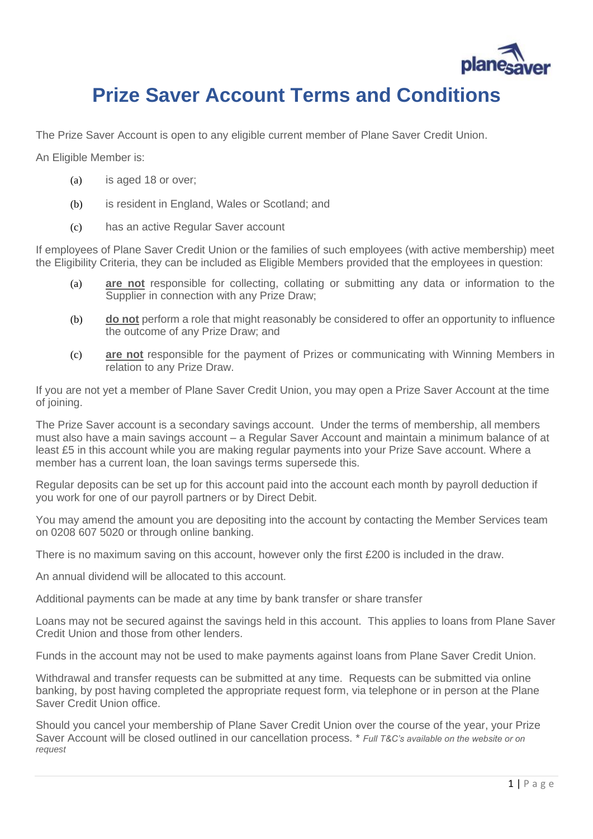

## **Prize Saver Account Terms and Conditions**

The Prize Saver Account is open to any eligible current member of Plane Saver Credit Union.

An Eligible Member is:

- (a) is aged 18 or over;
- (b) is resident in England, Wales or Scotland; and
- (c) has an active Regular Saver account

If employees of Plane Saver Credit Union or the families of such employees (with active membership) meet the Eligibility Criteria, they can be included as Eligible Members provided that the employees in question:

- (a) **are not** responsible for collecting, collating or submitting any data or information to the Supplier in connection with any Prize Draw;
- (b) **do not** perform a role that might reasonably be considered to offer an opportunity to influence the outcome of any Prize Draw; and
- (c) **are not** responsible for the payment of Prizes or communicating with Winning Members in relation to any Prize Draw.

If you are not yet a member of Plane Saver Credit Union, you may open a Prize Saver Account at the time of joining.

The Prize Saver account is a secondary savings account. Under the terms of membership, all members must also have a main savings account – a Regular Saver Account and maintain a minimum balance of at least £5 in this account while you are making regular payments into your Prize Save account. Where a member has a current loan, the loan savings terms supersede this.

Regular deposits can be set up for this account paid into the account each month by payroll deduction if you work for one of our payroll partners or by Direct Debit.

You may amend the amount you are depositing into the account by contacting the Member Services team on 0208 607 5020 or through online banking.

There is no maximum saving on this account, however only the first £200 is included in the draw.

An annual dividend will be allocated to this account.

Additional payments can be made at any time by bank transfer or share transfer

Loans may not be secured against the savings held in this account. This applies to loans from Plane Saver Credit Union and those from other lenders.

Funds in the account may not be used to make payments against loans from Plane Saver Credit Union.

Withdrawal and transfer requests can be submitted at any time. Requests can be submitted via online banking, by post having completed the appropriate request form, via telephone or in person at the Plane Saver Credit Union office.

Should you cancel your membership of Plane Saver Credit Union over the course of the year, your Prize Saver Account will be closed outlined in our cancellation process. \* *Full T&C's available on the website or on request*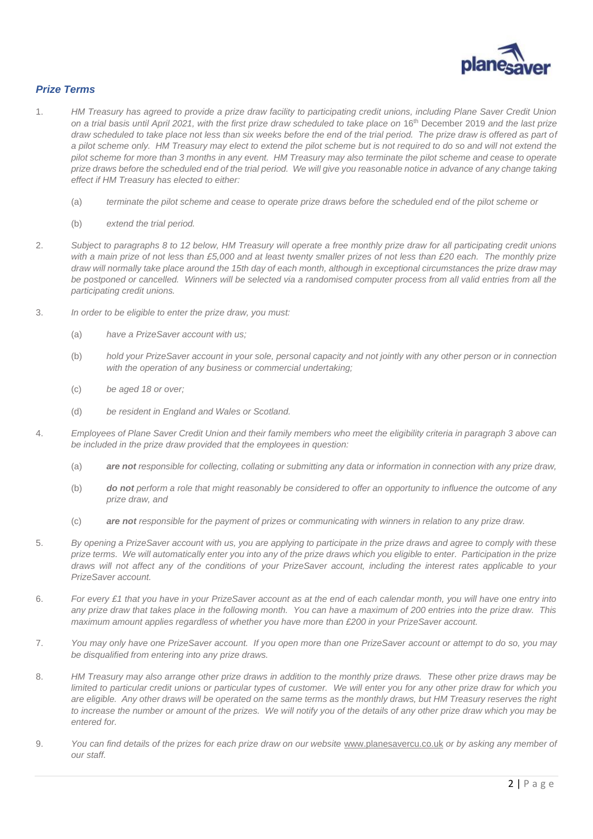

## *Prize Terms*

- 1. *HM Treasury has agreed to provide a prize draw facility to participating credit unions, including Plane Saver Credit Union on a trial basis until April 2021, with the first prize draw scheduled to take place on* 16th December 2019 *and the last prize draw scheduled to take place not less than six weeks before the end of the trial period. The prize draw is offered as part of a pilot scheme only. HM Treasury may elect to extend the pilot scheme but is not required to do so and will not extend the pilot scheme for more than 3 months in any event. HM Treasury may also terminate the pilot scheme and cease to operate prize draws before the scheduled end of the trial period. We will give you reasonable notice in advance of any change taking effect if HM Treasury has elected to either:*
	- (a) *terminate the pilot scheme and cease to operate prize draws before the scheduled end of the pilot scheme or*
	- (b) *extend the trial period.*
- 2. *Subject to paragraphs 8 to 12 below, HM Treasury will operate a free monthly prize draw for all participating credit unions with a main prize of not less than £5,000 and at least twenty smaller prizes of not less than £20 each. The monthly prize draw will normally take place around the 15th day of each month, although in exceptional circumstances the prize draw may be postponed or cancelled. Winners will be selected via a randomised computer process from all valid entries from all the participating credit unions.*
- 3. *In order to be eligible to enter the prize draw, you must:*
	- (a) *have a PrizeSaver account with us;*
	- (b) *hold your PrizeSaver account in your sole, personal capacity and not jointly with any other person or in connection with the operation of any business or commercial undertaking;*
	- (c) *be aged 18 or over;*
	- (d) *be resident in England and Wales or Scotland.*
- 4. *Employees of Plane Saver Credit Union and their family members who meet the eligibility criteria in paragraph 3 above can be included in the prize draw provided that the employees in question:*
	- (a) *are not responsible for collecting, collating or submitting any data or information in connection with any prize draw,*
	- (b) *do not perform a role that might reasonably be considered to offer an opportunity to influence the outcome of any prize draw, and*
	- (c) *are not responsible for the payment of prizes or communicating with winners in relation to any prize draw.*
- 5. *By opening a PrizeSaver account with us, you are applying to participate in the prize draws and agree to comply with these prize terms. We will automatically enter you into any of the prize draws which you eligible to enter. Participation in the prize draws will not affect any of the conditions of your PrizeSaver account, including the interest rates applicable to your PrizeSaver account.*
- 6. *For every £1 that you have in your PrizeSaver account as at the end of each calendar month, you will have one entry into any prize draw that takes place in the following month. You can have a maximum of 200 entries into the prize draw. This maximum amount applies regardless of whether you have more than £200 in your PrizeSaver account.*
- 7. *You may only have one PrizeSaver account. If you open more than one PrizeSaver account or attempt to do so, you may be disqualified from entering into any prize draws.*
- 8. *HM Treasury may also arrange other prize draws in addition to the monthly prize draws. These other prize draws may be limited to particular credit unions or particular types of customer. We will enter you for any other prize draw for which you are eligible. Any other draws will be operated on the same terms as the monthly draws, but HM Treasury reserves the right to increase the number or amount of the prizes. We will notify you of the details of any other prize draw which you may be entered for.*
- 9. *You can find details of the prizes for each prize draw on our website* [www.planesavercu.co.uk](http://www.planesavercu.co.uk/) *or by asking any member of our staff.*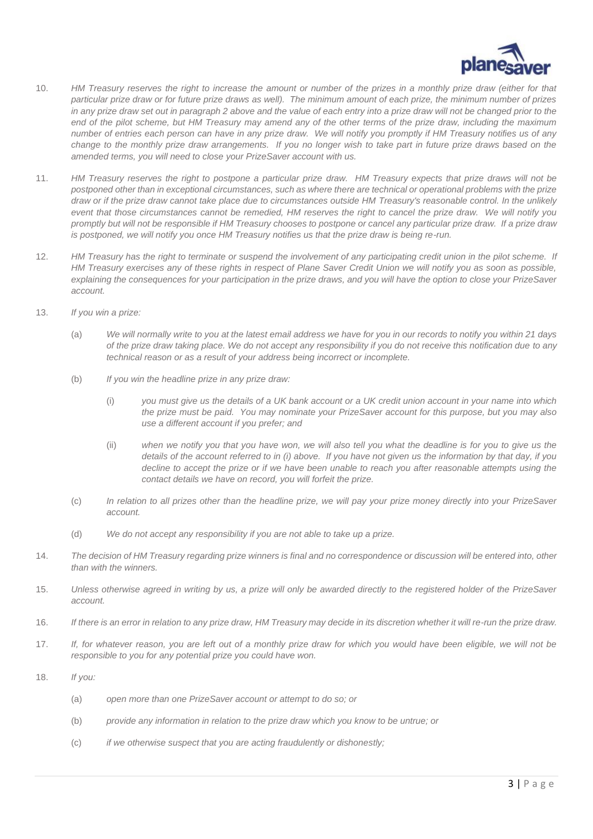

- 10. *HM Treasury reserves the right to increase the amount or number of the prizes in a monthly prize draw (either for that particular prize draw or for future prize draws as well). The minimum amount of each prize, the minimum number of prizes*  in any prize draw set out in paragraph 2 above and the value of each entry into a prize draw will not be changed prior to the *end of the pilot scheme, but HM Treasury may amend any of the other terms of the prize draw, including the maximum number of entries each person can have in any prize draw. We will notify you promptly if HM Treasury notifies us of any change to the monthly prize draw arrangements. If you no longer wish to take part in future prize draws based on the amended terms, you will need to close your PrizeSaver account with us.*
- 11. *HM Treasury reserves the right to postpone a particular prize draw. HM Treasury expects that prize draws will not be postponed other than in exceptional circumstances, such as where there are technical or operational problems with the prize draw or if the prize draw cannot take place due to circumstances outside HM Treasury's reasonable control. In the unlikely event that those circumstances cannot be remedied, HM reserves the right to cancel the prize draw. We will notify you promptly but will not be responsible if HM Treasury chooses to postpone or cancel any particular prize draw. If a prize draw is postponed, we will notify you once HM Treasury notifies us that the prize draw is being re-run.*
- 12. *HM Treasury has the right to terminate or suspend the involvement of any participating credit union in the pilot scheme. If HM Treasury exercises any of these rights in respect of Plane Saver Credit Union we will notify you as soon as possible, explaining the consequences for your participation in the prize draws, and you will have the option to close your PrizeSaver account.*
- 13. *If you win a prize:*
	- (a) *We will normally write to you at the latest email address we have for you in our records to notify you within 21 days of the prize draw taking place. We do not accept any responsibility if you do not receive this notification due to any technical reason or as a result of your address being incorrect or incomplete.*
	- (b) *If you win the headline prize in any prize draw:*
		- (i) *you must give us the details of a UK bank account or a UK credit union account in your name into which the prize must be paid. You may nominate your PrizeSaver account for this purpose, but you may also use a different account if you prefer; and*
		- (ii) *when we notify you that you have won, we will also tell you what the deadline is for you to give us the details of the account referred to in (i) above. If you have not given us the information by that day, if you decline to accept the prize or if we have been unable to reach you after reasonable attempts using the contact details we have on record, you will forfeit the prize.*
	- (c) *In relation to all prizes other than the headline prize, we will pay your prize money directly into your PrizeSaver account.*
	- (d) *We do not accept any responsibility if you are not able to take up a prize.*
- 14. *The decision of HM Treasury regarding prize winners is final and no correspondence or discussion will be entered into, other than with the winners.*
- 15. *Unless otherwise agreed in writing by us, a prize will only be awarded directly to the registered holder of the PrizeSaver account.*
- 16. *If there is an error in relation to any prize draw, HM Treasury may decide in its discretion whether it will re-run the prize draw.*
- 17. *If, for whatever reason, you are left out of a monthly prize draw for which you would have been eligible, we will not be responsible to you for any potential prize you could have won.*
- 18. *If you:*
	- (a) *open more than one PrizeSaver account or attempt to do so; or*
	- (b) *provide any information in relation to the prize draw which you know to be untrue; or*
	- (c) *if we otherwise suspect that you are acting fraudulently or dishonestly;*